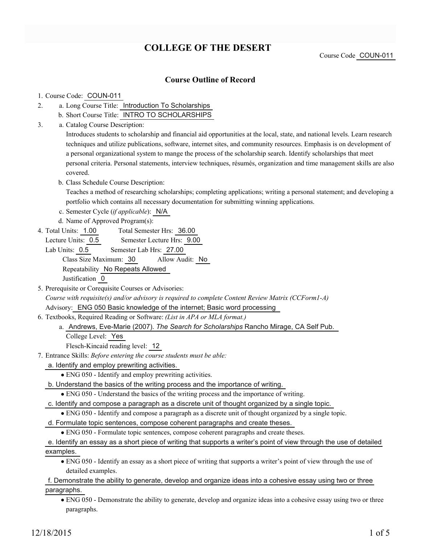# **COLLEGE OF THE DESERT**

Course Code COUN-011

## **Course Outline of Record**

#### 1. Course Code: COUN-011

- a. Long Course Title: Introduction To Scholarships 2.
	- b. Short Course Title: INTRO TO SCHOLARSHIPS
- Catalog Course Description: a. 3.

Introduces students to scholarship and financial aid opportunities at the local, state, and national levels. Learn research techniques and utilize publications, software, internet sites, and community resources. Emphasis is on development of a personal organizational system to mange the process of the scholarship search. Identify scholarships that meet personal criteria. Personal statements, interview techniques, résumés, organization and time management skills are also covered.

b. Class Schedule Course Description:

Teaches a method of researching scholarships; completing applications; writing a personal statement; and developing a portfolio which contains all necessary documentation for submitting winning applications.

c. Semester Cycle (*if applicable*): N/A

d. Name of Approved Program(s):

Total Semester Hrs: 36.00 4. Total Units: 1.00

Lecture Units: 0.5 Semester Lecture Hrs: 9.00

Lab Units: 0.5 Semester Lab Hrs: 27.00 Class Size Maximum: 30 Allow Audit: No Repeatability No Repeats Allowed Justification 0

5. Prerequisite or Corequisite Courses or Advisories:

*Course with requisite(s) and/or advisory is required to complete Content Review Matrix (CCForm1-A)* Advisory: ENG 050 Basic knowledge of the internet; Basic word processing

Textbooks, Required Reading or Software: *(List in APA or MLA format.)* 6.

a. Andrews, Eve-Marie (2007). The Search for Scholarships Rancho Mirage, CA Self Pub.

College Level: Yes

Flesch-Kincaid reading level: 12

- Entrance Skills: *Before entering the course students must be able:* 7.
	- a. Identify and employ prewriting activities.
		- ENG 050 Identify and employ prewriting activities.
	- b. Understand the basics of the writing process and the importance of writing.

ENG 050 - Understand the basics of the writing process and the importance of writing.

- c. Identify and compose a paragraph as a discrete unit of thought organized by a single topic.
	- ENG 050 Identify and compose a paragraph as a discrete unit of thought organized by a single topic.
- d. Formulate topic sentences, compose coherent paragraphs and create theses.

ENG 050 - Formulate topic sentences, compose coherent paragraphs and create theses.

e. Identify an essay as a short piece of writing that supports a writer's point of view through the use of detailed examples.

ENG 050 - Identify an essay as a short piece of writing that supports a writer's point of view through the use of detailed examples.

f. Demonstrate the ability to generate, develop and organize ideas into a cohesive essay using two or three paragraphs.

ENG 050 - Demonstrate the ability to generate, develop and organize ideas into a cohesive essay using two or three paragraphs.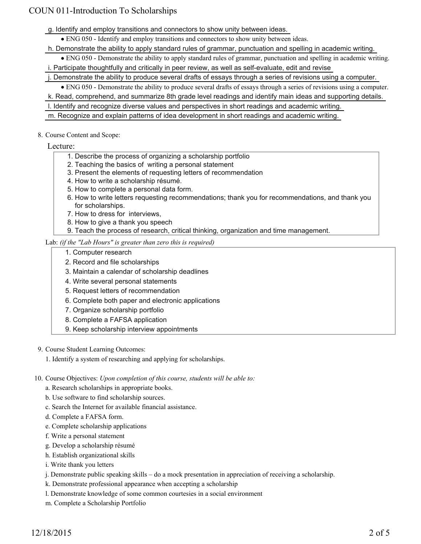g. Identify and employ transitions and connectors to show unity between ideas.

ENG 050 - Identify and employ transitions and connectors to show unity between ideas.

h. Demonstrate the ability to apply standard rules of grammar, punctuation and spelling in academic writing.

ENG 050 - Demonstrate the ability to apply standard rules of grammar, punctuation and spelling in academic writing.

i. Participate thoughtfully and critically in peer review, as well as self-evaluate, edit and revise

j. Demonstrate the ability to produce several drafts of essays through a series of revisions using a computer.

ENG 050 - Demonstrate the ability to produce several drafts of essays through a series of revisions using a computer.

k. Read, comprehend, and summarize 8th grade level readings and identify main ideas and supporting details.

l. Identify and recognize diverse values and perspectives in short readings and academic writing.

m. Recognize and explain patterns of idea development in short readings and academic writing.

- 8. Course Content and Scope:
	- Lecture:
		- 1. Describe the process of organizing a scholarship portfolio
		- 2. Teaching the basics of writing a personal statement
		- 3. Present the elements of requesting letters of recommendation
		- 4. How to write a scholarship résumé.
		- 5. How to complete a personal data form.
		- 6. How to write letters requesting recommendations; thank you for recommendations, and thank you for scholarships.
		- 7. How to dress for interviews,
		- 8. How to give a thank you speech
		- 9. Teach the process of research, critical thinking, organization and time management.

#### Lab: *(if the "Lab Hours" is greater than zero this is required)*

- 1. Computer research
- 2. Record and file scholarships
- 3. Maintain a calendar of scholarship deadlines
- 4. Write several personal statements
- 5. Request letters of recommendation
- 6. Complete both paper and electronic applications
- 7. Organize scholarship portfolio
- 8. Complete a FAFSA application
- 9. Keep scholarship interview appointments
- 9. Course Student Learning Outcomes:
	- 1. Identify a system of researching and applying for scholarships.
- 10. Course Objectives: Upon completion of this course, students will be able to:
	- a. Research scholarships in appropriate books.
	- b. Use software to find scholarship sources.
	- c. Search the Internet for available financial assistance.
	- d. Complete a FAFSA form.
	- e. Complete scholarship applications
	- f. Write a personal statement
	- g. Develop a scholarship résumé
	- h. Establish organizational skills
	- i. Write thank you letters
	- j. Demonstrate public speaking skills do a mock presentation in appreciation of receiving a scholarship.
	- k. Demonstrate professional appearance when accepting a scholarship
	- l. Demonstrate knowledge of some common courtesies in a social environment
	- m. Complete a Scholarship Portfolio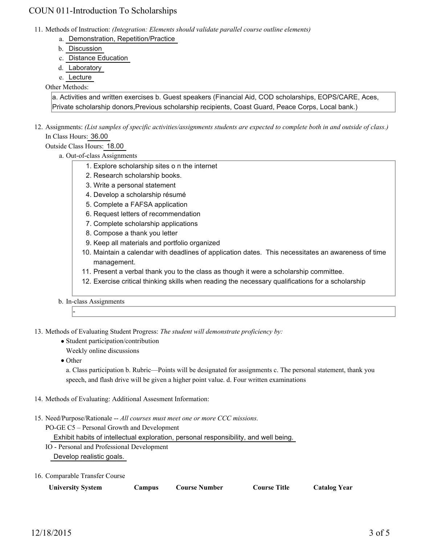- 11. Methods of Instruction: *(Integration: Elements should validate parallel course outline elements)* 
	- a. Demonstration, Repetition/Practice
	- b. Discussion
	- c. Distance Education
	- d. Laboratory
	- e. Lecture

#### Other Methods:

a. Activities and written exercises b. Guest speakers (Financial Aid, COD scholarships, EOPS/CARE, Aces, Private scholarship donors,Previous scholarship recipients, Coast Guard, Peace Corps, Local bank.)

12. Assignments: (List samples of specific activities/assignments students are expected to complete both in and outside of class.) In Class Hours: 36.00

## Outside Class Hours: 18.00

- a. Out-of-class Assignments
	- 1. Explore scholarship sites o n the internet
	- 2. Research scholarship books.
	- 3. Write a personal statement
	- 4. Develop a scholarship résumé
	- 5. Complete a FAFSA application
	- 6. Request letters of recommendation
	- 7. Complete scholarship applications
	- 8. Compose a thank you letter
	- 9. Keep all materials and portfolio organized
	- 10. Maintain a calendar with deadlines of application dates. This necessitates an awareness of time management.
	- 11. Present a verbal thank you to the class as though it were a scholarship committee.
	- 12. Exercise critical thinking skills when reading the necessary qualifications for a scholarship

b. In-class Assignments

13. Methods of Evaluating Student Progress: The student will demonstrate proficiency by:

- Student participation/contribution
	- Weekly online discussions
- Other

-

a. Class participation b. Rubric—Points will be designated for assignments c. The personal statement, thank you speech, and flash drive will be given a higher point value. d. Four written examinations

- 14. Methods of Evaluating: Additional Assesment Information:
- 15. Need/Purpose/Rationale -- All courses must meet one or more CCC missions.

PO-GE C5 – Personal Growth and Development

Exhibit habits of intellectual exploration, personal responsibility, and well being.

- IO Personal and Professional Development Develop realistic goals.
- 16. Comparable Transfer Course

**University System Campus Course Number Course Title Catalog Year**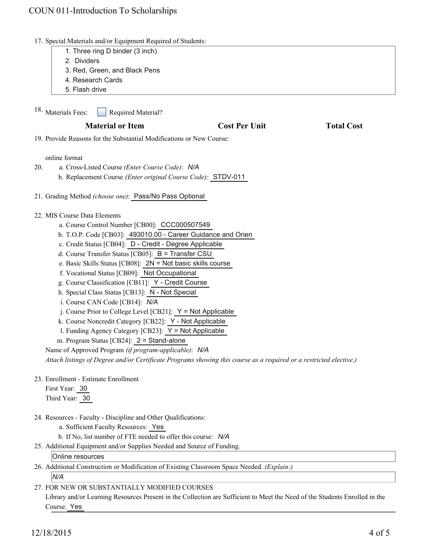- 17. Special Materials and/or Equipment Required of Students:
	- 1. Three ring D binder (3 inch)
	- 2. Dividers
	- 3. Red, Green, and Black Pens
	- 4. Research Cards
	- 5. Flash drive

Required Material? 18. Materials Fees:

## **Material or Item Cost Per Unit Total Cost**

19. Provide Reasons for the Substantial Modifications or New Course:

#### online format

- a. Cross-Listed Course *(Enter Course Code)*: *N/A* 20.
	- b. Replacement Course *(Enter original Course Code)*: STDV-011
- 21. Grading Method *(choose one)*: Pass/No Pass Optional
- MIS Course Data Elements 22.
	- a. Course Control Number [CB00]: CCC000507549
	- b. T.O.P. Code [CB03]: 493010.00 Career Guidance and Orien
	- c. Credit Status [CB04]: D Credit Degree Applicable
	- d. Course Transfer Status [CB05]: B = Transfer CSU
	- e. Basic Skills Status [CB08]: 2N = Not basic skills course
	- f. Vocational Status [CB09]: Not Occupational
	- g. Course Classification [CB11]: Y Credit Course
	- h. Special Class Status [CB13]: N Not Special
	- i. Course CAN Code [CB14]: *N/A*
	- $i$ . Course Prior to College Level [CB21]:  $Y = Not$  Applicable
	- k. Course Noncredit Category [CB22]: Y Not Applicable
	- l. Funding Agency Category [CB23]: Y = Not Applicable
	- m. Program Status [CB24]: 2 = Stand-alone

Name of Approved Program *(if program-applicable)*: *N/A Attach listings of Degree and/or Certificate Programs showing this course as a required or a restricted elective.)*

23. Enrollment - Estimate Enrollment

First Year: 30 Third Year: 30

24. Resources - Faculty - Discipline and Other Qualifications:

a. Sufficient Faculty Resources: Yes

- b. If No, list number of FTE needed to offer this course: *N/A*
- 25. Additional Equipment and/or Supplies Needed and Source of Funding.

#### Online resources

26. Additional Construction or Modification of Existing Classroom Space Needed. (Explain:) *N/A*

### FOR NEW OR SUBSTANTIALLY MODIFIED COURSES 27.

Library and/or Learning Resources Present in the Collection are Sufficient to Meet the Need of the Students Enrolled in the Course: Yes